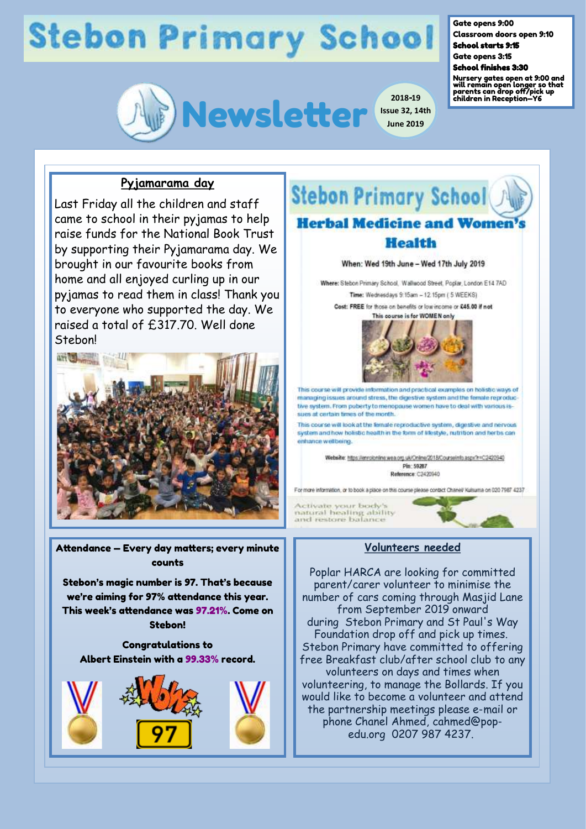# **Stebon Primary School**



**Issue 32, 14th June 2019**

#### Gate opens 9:00

Classroom doors open 9:10 School starts 9:15

Gate opens 3:15

### School finishes 3:30

Nursery gates open at 9:00 and will remain open longer so that parents can drop off/pick up children in Reception—Y6

## **Pyjamarama day**

Last Friday all the children and staff came to school in their pyjamas to help raise funds for the National Book Trust by supporting their Pyjamarama day. We brought in our favourite books from home and all enjoyed curling up in our pyjamas to read them in class! Thank you to everyone who supported the day. We raised a total of £317.70. Well done **Stebon!** 



Attendance — Every day matters; every minute counts

Stebon's magic number is 97. That's because we're aiming for 97% attendance this year. This week's attendance was 97.21%. Come on Stebon!

Congratulations to Albert Einstein with a 99.33% record.





number of cars coming through Masjid Lane from September 2019 onward during Stebon Primary and St Paul's Way Foundation drop off and pick up times. Stebon Primary have committed to offering free Breakfast club/after school club to any volunteers on days and times when volunteering, to manage the Bollards. If you would like to become a volunteer and attend the partnership meetings please e-mail or phone Chanel Ahmed, cahmed@popedu.org 0207 987 4237.